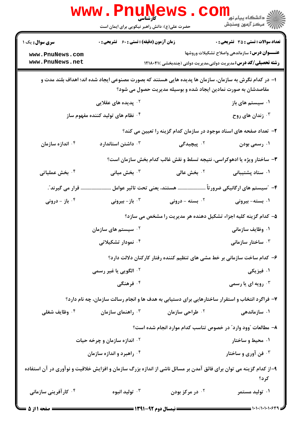|                                                                                                                                                                         | www.PnuNews<br>حضرت علی(ع): دانش راهبر نیکویی برای ایمان است                                    |                             | رد دانشڪاه پيام نور ■<br>ار⊂ مرکز آزمون وسنجش                           |
|-------------------------------------------------------------------------------------------------------------------------------------------------------------------------|-------------------------------------------------------------------------------------------------|-----------------------------|-------------------------------------------------------------------------|
| <b>سری سوال :</b> یک ۱                                                                                                                                                  | <b>زمان آزمون (دقیقه) : تستی : 60 ٪ تشریحی : 0</b>                                              |                             | <b>تعداد سوالات : تستی : 35 ٪ تشریحی : 0</b>                            |
| www.PnuNews.com                                                                                                                                                         |                                                                                                 |                             | <b>عنـــوان درس:</b> سازماندهی واصلاح تشکیلات وروشها                    |
| www.PnuNews.net                                                                                                                                                         |                                                                                                 |                             | <b>رشته تحصیلی/کد درس:</b> مدیریت دولتی،مدیریت دولتی (چندبخشی )۲۱۸۰۴۱   |
| ۱– در کدام نگرش به سازمان، سازمان ها پدیده هایی هستند که بصورت مصنوعی ایجاد شده اند؛ اهداف بلند مدت و<br>مقاصدشان به صورت نمادین ایجاد شده و بوسیله مدیریت حصول می شود؟ |                                                                                                 |                             |                                                                         |
|                                                                                                                                                                         | <sup>۲.</sup> پدیده های عقلایی                                                                  |                             | ۰۱ سیستم های باز                                                        |
|                                                                                                                                                                         | <sup>۴.</sup> نظام های تولید کننده مفهوم ساز                                                    |                             | ۰۳ زندان های روح                                                        |
| ۲– تعداد صفحه های اسناد موجود در سازمان کدام گزینه را تعیین می کند؟                                                                                                     |                                                                                                 |                             |                                                                         |
| ۰۴ اندازه سازمان                                                                                                                                                        | داشتن استاندار د $\cdot$                                                                        | ۰ <sup>۲</sup> پیچیدگی      | ۰۱ رسمی بودن                                                            |
|                                                                                                                                                                         |                                                                                                 |                             | ۳- ساختار ویژه یا ادهوکراسی، نتیجه تسلط و نقش غالب کدام بخش سازمان است؟ |
| ۰ <sup>۴</sup> بخش عملیاتی                                                                                                                                              | بخش میانی $\cdot^{\mathtt{v}}$                                                                  | ۰ <sup>۲</sup> بخش عالی     | ۰۱ ستاد پشتیبانی                                                        |
| قرار می گیرند ؒ.                                                                                                                                                        |                                                                                                 |                             | ۴– ″سیستم های ارگانیکی ضرور تأ  هستند، یعنی تحت تاثیر عوامل             |
| ا باز - درونی $\cdot$ ۴                                                                                                                                                 | ار - بيرونى $\cdot^{\mathsf{v}}$                                                                | ۰ <sup>۲</sup> بسته - درونی | ۰۱ بسته- بیرونی                                                         |
|                                                                                                                                                                         | ۵– کدام گزینه کلیه اجزاء تشکیل دهنده هر مدیریت را مشخص می سازد؟                                 |                             |                                                                         |
|                                                                                                                                                                         | ۰ <sup>۲</sup> سیستم های سازمان                                                                 |                             | ۰۱ وظایف سازمانی                                                        |
|                                                                                                                                                                         | ۰ <sup>۴</sup> نمودار تشکیلاتی                                                                  |                             | ساختار سازمانی $\cdot$                                                  |
| ۶– کدام ساخت سازمانی بر خط مشی های تنظیم کننده رفتار کارکنان دلالت دارد؟                                                                                                |                                                                                                 |                             |                                                                         |
|                                                                                                                                                                         | <sup>۲ .</sup> الگویی یا غیر رسمی                                                               |                             | ۰۱ فیزیکی                                                               |
|                                                                                                                                                                         | ۰ <sup>۴</sup> فرهنگی                                                                           |                             | رویه ای یا رسمی $\cdot^{\mathsf{y}}$                                    |
|                                                                                                                                                                         | ۷- فراگرد انتخاب و استقرار ساختارهایی برای دستیابی به هدف ها و انجام رسالت سازمان، چه نام دارد؟ |                             |                                                                         |
| ۰ <sup>۴</sup> وظایف شغلی                                                                                                                                               | راهنمای سازمان $\cdot^{\intercal}$                                                              | ۰ <sup>۲</sup> طراحی سازمان | ۰۱ سازمانده <sub>ی</sub>                                                |
|                                                                                                                                                                         |                                                                                                 |                             | ۸– مطالعات "وود وارد" در خصوص تناسب کدام موارد انجام شده است؟           |
|                                                                                                                                                                         | <b>۲ واندازه سازمان و چرخه حیات</b>                                                             |                             | ۰۱ محیط و ساختار                                                        |
|                                                                                                                                                                         | ۰۴ راهبرد و اندازه سازمان                                                                       |                             | ۰۳ فن آوری و ساختار                                                     |
| ۹-از کدام گزینه می توان برای فائق آمدن بر مسائل ناشی از اندازه بزرگ سازمان و افزایش خلاقیت و نوآوری در آن استفاده<br>کر د؟                                              |                                                                                                 |                             |                                                                         |
| ۰۴ کار آفرینی سازمانی                                                                                                                                                   | توليد انبوه $\cdot$                                                                             | ۰ <sup>۲</sup> در مرکز بودن | ۰۱ تولید مستمر                                                          |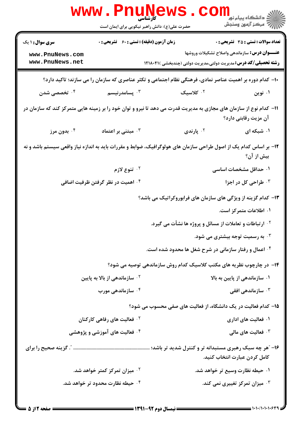|                                                                                                                    | www . Pni<br><b>ULLN 1</b><br>کارشاسی<br>حضرت علی(ع): دانش راهبر نیکویی برای ایمان است |                                                                     | ڪ دانشڪاه پيام نور ■<br> 7- مرکز آزمون وسنڊش                                                             |
|--------------------------------------------------------------------------------------------------------------------|----------------------------------------------------------------------------------------|---------------------------------------------------------------------|----------------------------------------------------------------------------------------------------------|
| <b>سری سوال :</b> ۱ یک                                                                                             | <b>زمان آزمون (دقیقه) : تستی : 60 ٪ تشریحی : 0</b>                                     |                                                                     | <b>تعداد سوالات : تستي : 35 ٪ تشریحي : 0</b>                                                             |
| www.PnuNews.com                                                                                                    |                                                                                        |                                                                     | <b>عنـــوان درس:</b> سازماندهی واصلاح تشکیلات وروشها                                                     |
| www.PnuNews.net                                                                                                    |                                                                                        |                                                                     | <b>رشته تحصیلی/کد درس:</b> مدیریت دولتی،مدیریت دولتی (چندبخشی )۱۲۱۸۰۴۱                                   |
|                                                                                                                    |                                                                                        |                                                                     | ۱۰- کدام دوره بر اهمیت عناصر نمادی، فرهنگی نظام اجتماعی و تکثر عناصری که سازمان را می سازند؛ تاکید دارد؟ |
| ۰۴ تخصصی شدن                                                                                                       | بسامدرنیسم $\cdot$ ۳                                                                   | ۰۲ کلاسیک                                                           | ۰۱ نوين                                                                                                  |
| 11- کدام نوع از سازمان های مجازی به مدیریت قدرت می دهد تا نیرو و توان خود را بر زمینه هایی متمرکز کند که سازمان در |                                                                                        |                                                                     | آن مزیت رقابتی دارد؟                                                                                     |
| ۰۴ بدون مرز                                                                                                        | مبتنی بر اعتماد $\cdot$ ۳                                                              | ۰ <sup>۲</sup> پارندی                                               | ۰۱ شبکه ای                                                                                               |
| ۱۲- بر اساس کدام یک از اصول طراحی سازمان های هولوگرافیک، ضوابط و مقررات باید به اندازه نیاز واقعی سیستم باشد و نه  |                                                                                        |                                                                     | بیش از آن؟                                                                                               |
|                                                                                                                    | ۰۲ تنوع لازم                                                                           |                                                                     | ۰۱ حداقل مشخصات اساسی                                                                                    |
|                                                                                                                    | ۰۴ اهمیت در نظر گرفتن ظرفیت اضافی                                                      |                                                                     | طراحی کل در اجزا $\cdot$ "                                                                               |
|                                                                                                                    |                                                                                        |                                                                     | ۱۳- کدام گزینه از ویژگی های سازمان های فرابوروکراتیک می باشد؟                                            |
|                                                                                                                    |                                                                                        |                                                                     | ۰۱ اطلاعات متمرکز است.                                                                                   |
|                                                                                                                    |                                                                                        | <sup>۲ .</sup> ارتباطات و تعاملات از مسائل و پروژه ها نشأت می گیرد. |                                                                                                          |
|                                                                                                                    |                                                                                        |                                                                     | ۰۳ به رسمیت توجه بیشتری می شود. $\cdot$ ۳                                                                |
|                                                                                                                    |                                                                                        |                                                                     | ۰۴ اعمال و رفتار سازمانی در شرح شغل ها محدود شده است.                                                    |
|                                                                                                                    |                                                                                        |                                                                     | ۱۴- در چارچوب نظریه های مکتب کلاسیک کدام روش سازماندهی توصیه می شود؟                                     |
|                                                                                                                    | ۰ <sup>۲</sup> سازماندهی از بالا به پایین                                              |                                                                     | ۰۱ سازماندهی از پایین به بالا                                                                            |
|                                                                                                                    | ۰ <sup>۴</sup> سازمانده <sub>ی مور</sub> ب                                             |                                                                     | سازماندهی افقی $\cdot^{\mathtt{w}}$                                                                      |
|                                                                                                                    |                                                                                        |                                                                     | ۱۵- کدام فعالیت در یک دانشگاه، از فعالیت های صفی محسوب می شود؟                                           |
|                                                                                                                    | ۰ <sup>۲</sup> فعالیت های رفاهی کارکنان                                                |                                                                     | ۰۱ فعالیت های اداری                                                                                      |
|                                                                                                                    | ۰۴ فعالیت های آموزشی و پژوهشی                                                          |                                                                     | نار فعالیت های مالی $\cdot^{\mathtt{w}}$                                                                 |
|                                                                                                                    |                                                                                        |                                                                     |                                                                                                          |
|                                                                                                                    |                                                                                        |                                                                     | كامل كردن عبارت انتخاب كنيد.                                                                             |
|                                                                                                                    | ۰ <sup>۲</sup> میزان تمرکز کمتر خواهد شد.                                              |                                                                     | ۰۱ حیطه نظارت وسیع تر خواهد شد.                                                                          |
|                                                                                                                    | ۰۴ حیطه نظارت محدود تر خواهد شد.                                                       |                                                                     | ۰ <sup>۳</sup> میزان تمرکز تغییری نمی کند.                                                               |
|                                                                                                                    |                                                                                        |                                                                     |                                                                                                          |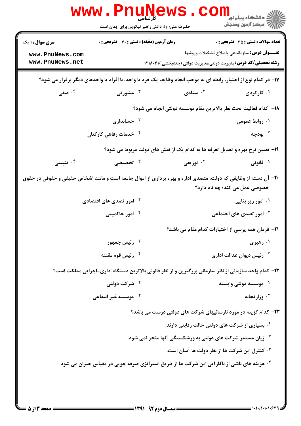|                                    | www . Phu<br><b>کارشناسی</b><br>حضرت علی(ع): دانش راهبر نیکویی برای ایمان است                                   |                                                       | د دانشڪاه پيام نور¶<br>ا∜ مرڪز آزمون وسنڊش                                                                                    |
|------------------------------------|-----------------------------------------------------------------------------------------------------------------|-------------------------------------------------------|-------------------------------------------------------------------------------------------------------------------------------|
| <b>سری سوال : ۱ یک</b>             | <b>زمان آزمون (دقیقه) : تستی : 60 ٪ تشریحی : 0</b>                                                              |                                                       | <b>تعداد سوالات : تستی : 35 تشریحی : 0</b>                                                                                    |
| www.PnuNews.com<br>www.PnuNews.net |                                                                                                                 |                                                       | <b>عنـــوان درس:</b> سازماندهی واصلاح تشکیلات وروشها<br><b>رشته تحصیلی/کد درس:</b> مدیریت دولتی،مدیریت دولتی (چندبخشی )۲۱۸۰۴۱ |
|                                    | ۱۷- در کدام نوع از اختیار، رابطه ای به موجب انجام وظایف یک فرد یا واحد، با افراد یا واحدهای دیگر برقرار می شود؟ |                                                       |                                                                                                                               |
| ۰۴ صفی                             | ۰ <sup>۳</sup> مشورتی                                                                                           | ۰۲ ستادی                                              | ۰۱ کارکردی                                                                                                                    |
|                                    |                                                                                                                 |                                                       | 18– كدام فعاليت تحت نظر بالاترين مقام موسسه دولتي انجام مي شود؟                                                               |
|                                    | ۰ <sup>۲</sup> حسابداری                                                                                         |                                                       | ۰۱ روابط عمومی                                                                                                                |
|                                    | ۰ <sup>۴</sup> خدمات رفاهی کارکنان                                                                              |                                                       | بودجه $\cdot$ ۳                                                                                                               |
|                                    | ۱۹- تعیین نرخ بهره و تعدیل تعرفه ها به کدام یک از نقش های دولت مربوط می شود؟                                    |                                                       |                                                                                                                               |
| ۰ <sup>۴</sup> تثبیتی              | تخصیصی $\cdot$                                                                                                  | ۰ <sup>۲</sup> توزیعی                                 | ۰۱ قانونی                                                                                                                     |
|                                    | +۲- آن دسته از وظایفی که دولت، متصدی اداره و بهره برداری از اموال جامعه است و مانند اشخاص حقیقی و حقوقی در حقوق |                                                       | خصوصی عمل می کند؛ چه نام دارد؟                                                                                                |
|                                    | <sup>۲.</sup> امور تصدی های اقتصادی                                                                             |                                                       | ۰۱ امور زیر بنایی                                                                                                             |
|                                    | ۰۴ امور حاکمیتی                                                                                                 |                                                       | ۰ <sup>۳</sup> امور تصدی های اجتماعی                                                                                          |
|                                    |                                                                                                                 |                                                       | <b>۲۱</b> - فرمان همه پرسی از اختیارات کدام مقام می باشد؟                                                                     |
|                                    | ۰ <sup>۲</sup> رئیس جمهور                                                                                       |                                                       | ۰۱ رهبری                                                                                                                      |
|                                    | ۰ <sup>۴</sup> رئیس قوه مقننه                                                                                   |                                                       | رئیس دیوان عدالت اداری $\cdot^{\texttt{w}}$                                                                                   |
|                                    | ۲۲- کدام واحد سازمانی از نظر سازمانی بزرگترین و از نظر قانونی بالاترین دستگاه اداری-اجرایی مملکت است؟           |                                                       |                                                                                                                               |
|                                    | <b>10 شرکت دولتی</b>                                                                                            |                                                       | ۰۱ موسسه دولتي وابسته                                                                                                         |
|                                    | ۰۲ موسسه غیر انتفاعی                                                                                            |                                                       | وزارتخانه $\cdot$                                                                                                             |
|                                    |                                                                                                                 |                                                       | ۲۳- کدام گزینه در مورد نارسائیهای شرکت های دولتی درست می باشد؟                                                                |
|                                    |                                                                                                                 | ۰۱ بسیاری از شرکت های دولتی حالت رقابتی دارند.        |                                                                                                                               |
|                                    | <b>گ زیان مستمر شرکت های دولتی به ورشکستگی آنها منجر نمی شود.</b>                                               |                                                       |                                                                                                                               |
|                                    |                                                                                                                 | <b>4 . كنترل اين شركت ها از نظر دولت ها آسان است.</b> |                                                                                                                               |
|                                    | ۰۴ هزینه های ناشی از ناکار آیی این شرکت ها از طریق استراتژی صرفه جویی در مقیاس جبران می شود.                    |                                                       |                                                                                                                               |
|                                    |                                                                                                                 |                                                       |                                                                                                                               |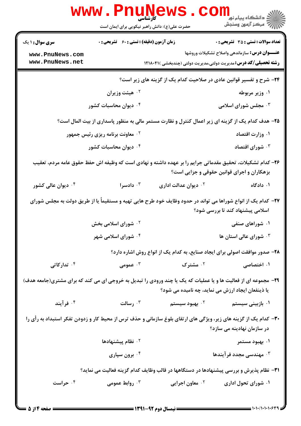|                                                                                                   | WWW.PILUIN<br>حضرت علی(ع): دانش راهبر نیکویی برای ایمان است                                                                                    |                                                   | دانشگاه پیام نو <mark>ر</mark><br>(= دانشگاه پیام نور<br>ا                  |  |
|---------------------------------------------------------------------------------------------------|------------------------------------------------------------------------------------------------------------------------------------------------|---------------------------------------------------|-----------------------------------------------------------------------------|--|
| <b>سری سوال :</b> ۱ یک                                                                            | <b>زمان آزمون (دقیقه) : تستی : 60 ٪ تشریحی : 0</b>                                                                                             |                                                   | <b>تعداد سوالات : تستی : 35 تشریحی : 0</b>                                  |  |
| www.PnuNews.com                                                                                   |                                                                                                                                                |                                                   | <b>عنـــوان درس:</b> سازماندهی واصلاح تشکیلات وروشها                        |  |
| www.PnuNews.net                                                                                   |                                                                                                                                                |                                                   | <b>رشته تحصیلی/کد درس:</b> مدیریت دولتی،مدیریت دولتی (چندبخشی )۲۱۸۰۴۱       |  |
| ۲۴- شرح و تفسیر قوانین عادی در صلاحیت کدام یک از گزینه های زیر است؟                               |                                                                                                                                                |                                                   |                                                                             |  |
|                                                                                                   | ۰۲ هیئت وزیران                                                                                                                                 |                                                   | ۰۱ وزیر مربوطه                                                              |  |
|                                                                                                   | ۰۴ دیوان محاسبات کشور                                                                                                                          |                                                   | ۰۳ مجلس شورای اسلامی                                                        |  |
| ۲۵– هدف کدام یک از گزینه ای زیر اعمال کنترل و نظارت مستمر مالی به منظور پاسداری از بیت المال است؟ |                                                                                                                                                |                                                   |                                                                             |  |
|                                                                                                   | <b>گ معاونت برنامه ریزی رئیس جمهور</b>                                                                                                         |                                                   | ۰۱ وزارت اقتصاد                                                             |  |
|                                                                                                   | ۰۴ دیوان محاسبات کشور                                                                                                                          |                                                   | شورای اقتصاد $\cdot$                                                        |  |
|                                                                                                   | ۲۶– کدام تشکیلات، تحقیق مقدماتی جرایم را بر عهده داشته و نهادی است که وظیفه اش حفظ حقوق عامه مردم، تعقیب                                       |                                                   | بزهکاران و اجرای قوانین حقوقی و جزایی است؟                                  |  |
| ۰ <sup>۴</sup> دیوان عالی کشور                                                                    | ا دادسرا $\cdot$                                                                                                                               | ۰ <sup>۲</sup> دیوان عدالت اداری                  | ۰۱ دادگاه                                                                   |  |
|                                                                                                   | ۲۷– کدام یک از انواع شوراها می تواند در حدود وظایف خود طرح هایی تهیه و مستقیماً یا از طریق دولت به مجلس شورای                                  |                                                   | اسلامی پیشنهاد کند تا بررسی شود؟                                            |  |
|                                                                                                   | <b>گ شورای اسلامی بخش</b>                                                                                                                      |                                                   | ۰۱ شوراهای صنفی                                                             |  |
|                                                                                                   | <b>۴ قورای اسلامی شهر</b> ۶                                                                                                                    |                                                   | شورای عالی استان ها $\cdot^{\mathsf{y}}$                                    |  |
|                                                                                                   |                                                                                                                                                |                                                   | ۲۸- صدور موافقت اصولی برای ایجاد صنایع، به کدام یک از انواع روش اشاره دارد؟ |  |
| ۰ <sup>۴</sup> تدارکاتی                                                                           | ج عمومی $\cdot^{\mathsf{r}}$                                                                                                                   | ۰۲ مشترک                                          | ۰۱ اختصاصی                                                                  |  |
|                                                                                                   | ۲۹- مجموعه ای از فعالیت ها و یا عملیات که یک یا چند ورودی را تبدیل به خروجی ای می کند که برای مشتری(جامعه هدف)                                 | یا ذینفعان ایجاد ارزش می نماید، چه نامیده می شود؟ |                                                                             |  |
| ۰۴ فرآیند                                                                                         | ۰۳ رسالت                                                                                                                                       |                                                   |                                                                             |  |
|                                                                                                   | ۳۰– کدام یک از گزینه های زیر، ویژگی های ارتقای بلوغ سازمانی و حذف ترس از محیط کار و زدودن تفکر استبداد به رأی را<br>در سازمان نهادینه می سازد؟ |                                                   |                                                                             |  |
|                                                                                                   | نظام پیشنهادها $\cdot$ ۲                                                                                                                       |                                                   | ۰۱ بهبود مستمر                                                              |  |
|                                                                                                   | ۰۴ برون سپاری                                                                                                                                  |                                                   | ۰۳ مهندسی مجدد فرآیندها                                                     |  |
|                                                                                                   | ۳۱- نظام پذیرش و بررسی پیشنهادها در دستگاهها در قالب وظایف کدام گزینه فعالیت می نماید؟                                                         |                                                   |                                                                             |  |
| ۰۴ حراست                                                                                          | روابط عمومی $\cdot^{\mathsf{v}}$                                                                                                               | ۰ <sup>۲</sup> معاون اجرایی                       | ۰۱ شورای تحول اداری                                                         |  |